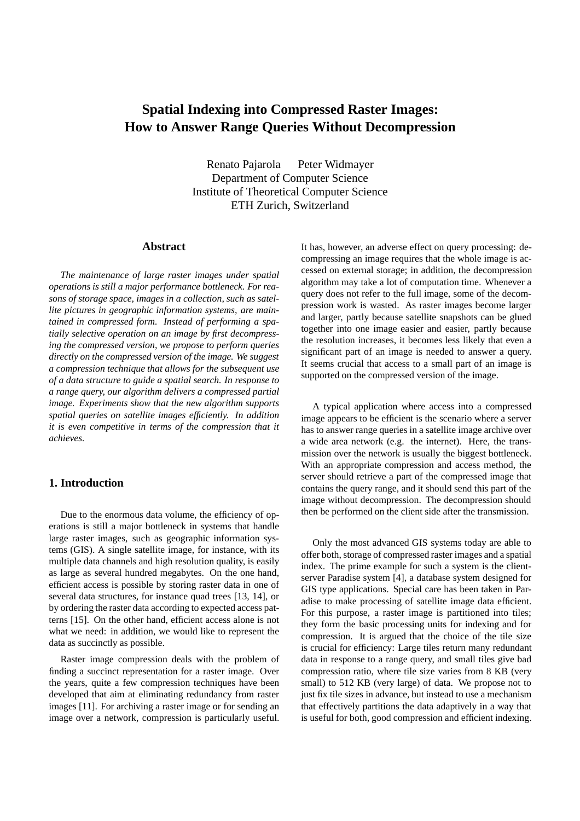# **Spatial Indexing into Compressed Raster Images: How to Answer Range Queries Without Decompression**

Renato Pajarola Peter Widmayer Department of Computer Science Institute of Theoretical Computer Science ETH Zurich, Switzerland

#### **Abstract**

*The maintenance of large raster images under spatial operations is still a major performance bottleneck. For reasons of storage space, images in a collection, such as satellite pictures in geographic information systems, are maintained in compressed form. Instead of performing a spatially selective operation on an image by first decompressing the compressed version, we propose to perform queries directly on the compressed version of the image. We suggest a compression technique that allows for the subsequent use of a data structure to guide a spatial search. In response to a range query, our algorithm delivers a compressed partial image. Experiments show that the new algorithm supports spatial queries on satellite images efficiently. In addition it is even competitive in terms of the compression that it achieves.*

# **1. Introduction**

Due to the enormous data volume, the efficiency of operations is still a major bottleneck in systems that handle large raster images, such as geographic information systems (GIS). A single satellite image, for instance, with its multiple data channels and high resolution quality, is easily as large as several hundred megabytes. On the one hand, efficient access is possible by storing raster data in one of several data structures, for instance quad trees [13, 14], or by ordering the raster data according to expected access patterns [15]. On the other hand, efficient access alone is not what we need: in addition, we would like to represent the data as succinctly as possible.

Raster image compression deals with the problem of finding a succinct representation for a raster image. Over the years, quite a few compression techniques have been developed that aim at eliminating redundancy from raster images [11]. For archiving a raster image or for sending an image over a network, compression is particularly useful. It has, however, an adverse effect on query processing: decompressing an image requires that the whole image is accessed on external storage; in addition, the decompression algorithm may take a lot of computation time. Whenever a query does not refer to the full image, some of the decompression work is wasted. As raster images become larger and larger, partly because satellite snapshots can be glued together into one image easier and easier, partly because the resolution increases, it becomes less likely that even a significant part of an image is needed to answer a query. It seems crucial that access to a small part of an image is supported on the compressed version of the image.

A typical application where access into a compressed image appears to be efficient is the scenario where a server has to answer range queries in a satellite image archive over a wide area network (e.g. the internet). Here, the transmission over the network is usually the biggest bottleneck. With an appropriate compression and access method, the server should retrieve a part of the compressed image that contains the query range, and it should send this part of the image without decompression. The decompression should then be performed on the client side after the transmission.

Only the most advanced GIS systems today are able to offer both, storage of compressed raster images and a spatial index. The prime example for such a system is the clientserver Paradise system [4], a database system designed for GIS type applications. Special care has been taken in Paradise to make processing of satellite image data efficient. For this purpose, a raster image is partitioned into tiles; they form the basic processing units for indexing and for compression. It is argued that the choice of the tile size is crucial for efficiency: Large tiles return many redundant data in response to a range query, and small tiles give bad compression ratio, where tile size varies from 8 KB (very small) to 512 KB (very large) of data. We propose not to just fix tile sizes in advance, but instead to use a mechanism that effectively partitions the data adaptively in a way that is useful for both, good compression and efficient indexing.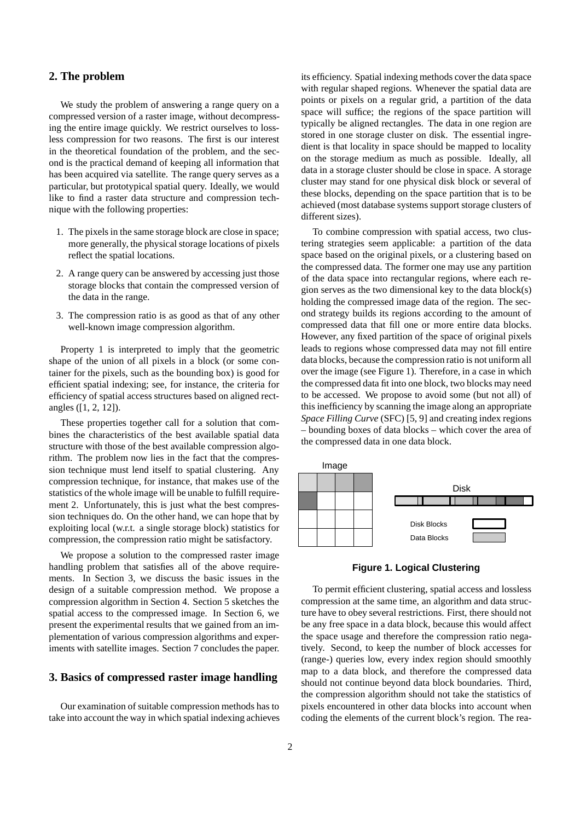## **2. The problem**

We study the problem of answering a range query on a compressed version of a raster image, without decompressing the entire image quickly. We restrict ourselves to lossless compression for two reasons. The first is our interest in the theoretical foundation of the problem, and the second is the practical demand of keeping all information that has been acquired via satellite. The range query serves as a particular, but prototypical spatial query. Ideally, we would like to find a raster data structure and compression technique with the following properties:

- 1. The pixels in the same storage block are close in space; more generally, the physical storage locations of pixels reflect the spatial locations.
- 2. A range query can be answered by accessing just those storage blocks that contain the compressed version of the data in the range.
- 3. The compression ratio is as good as that of any other well-known image compression algorithm.

Property 1 is interpreted to imply that the geometric shape of the union of all pixels in a block (or some container for the pixels, such as the bounding box) is good for efficient spatial indexing; see, for instance, the criteria for efficiency of spatial access structures based on aligned rectangles ([1, 2, 12]).

These properties together call for a solution that combines the characteristics of the best available spatial data structure with those of the best available compression algorithm. The problem now lies in the fact that the compression technique must lend itself to spatial clustering. Any compression technique, for instance, that makes use of the statistics of the whole image will be unable to fulfill requirement 2. Unfortunately, this is just what the best compression techniques do. On the other hand, we can hope that by exploiting local (w.r.t. a single storage block) statistics for compression, the compression ratio might be satisfactory.

We propose a solution to the compressed raster image handling problem that satisfies all of the above requirements. In Section 3, we discuss the basic issues in the design of a suitable compression method. We propose a compression algorithm in Section 4. Section 5 sketches the spatial access to the compressed image. In Section 6, we present the experimental results that we gained from an implementation of various compression algorithms and experiments with satellite images. Section 7 concludes the paper.

## **3. Basics of compressed raster image handling**

Our examination of suitable compression methods has to take into account the way in which spatial indexing achieves its efficiency. Spatial indexing methods cover the data space with regular shaped regions. Whenever the spatial data are points or pixels on a regular grid, a partition of the data space will suffice; the regions of the space partition will typically be aligned rectangles. The data in one region are stored in one storage cluster on disk. The essential ingredient is that locality in space should be mapped to locality on the storage medium as much as possible. Ideally, all data in a storage cluster should be close in space. A storage cluster may stand for one physical disk block or several of these blocks, depending on the space partition that is to be achieved (most database systems support storage clusters of different sizes).

To combine compression with spatial access, two clustering strategies seem applicable: a partition of the data space based on the original pixels, or a clustering based on the compressed data. The former one may use any partition of the data space into rectangular regions, where each region serves as the two dimensional key to the data block(s) holding the compressed image data of the region. The second strategy builds its regions according to the amount of compressed data that fill one or more entire data blocks. However, any fixed partition of the space of original pixels leads to regions whose compressed data may not fill entire data blocks, because the compression ratio is not uniform all over the image (see Figure 1). Therefore, in a case in which the compressed data fit into one block, two blocks may need to be accessed. We propose to avoid some (but not all) of this inefficiency by scanning the image along an appropriate *Space Filling Curve* (SFC) [5, 9] and creating index regions – bounding boxes of data blocks – which cover the area of the compressed data in one data block.



**Figure 1. Logical Clustering**

To permit efficient clustering, spatial access and lossless compression at the same time, an algorithm and data structure have to obey several restrictions. First, there should not be any free space in a data block, because this would affect the space usage and therefore the compression ratio negatively. Second, to keep the number of block accesses for (range-) queries low, every index region should smoothly map to a data block, and therefore the compressed data should not continue beyond data block boundaries. Third, the compression algorithm should not take the statistics of pixels encountered in other data blocks into account when coding the elements of the current block's region. The rea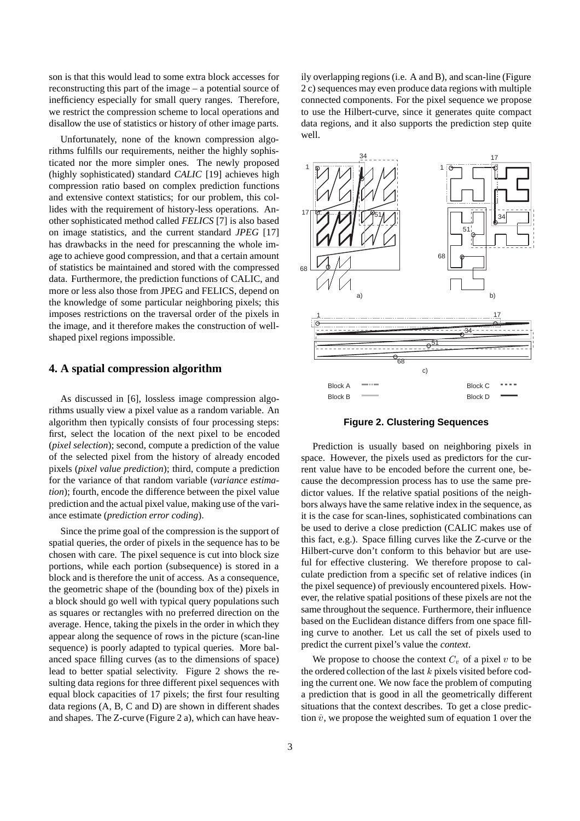son is that this would lead to some extra block accesses for reconstructing this part of the image – a potential source of inefficiency especially for small query ranges. Therefore, we restrict the compression scheme to local operations and disallow the use of statistics or history of other image parts.

Unfortunately, none of the known compression algorithms fulfills our requirements, neither the highly sophisticated nor the more simpler ones. The newly proposed (highly sophisticated) standard *CALIC* [19] achieves high compression ratio based on complex prediction functions and extensive context statistics; for our problem, this collides with the requirement of history-less operations. Another sophisticated method called *FELICS* [7] is also based on image statistics, and the current standard *JPEG* [17] has drawbacks in the need for prescanning the whole image to achieve good compression, and that a certain amount of statistics be maintained and stored with the compressed data. Furthermore, the prediction functions of CALIC, and more or less also those from JPEG and FELICS, depend on the knowledge of some particular neighboring pixels; this imposes restrictions on the traversal order of the pixels in the image, and it therefore makes the construction of wellshaped pixel regions impossible.

#### **4. A spatial compression algorithm**

As discussed in [6], lossless image compression algorithms usually view a pixel value as a random variable. An algorithm then typically consists of four processing steps: first, select the location of the next pixel to be encoded (*pixel selection*); second, compute a prediction of the value of the selected pixel from the history of already encoded pixels (*pixel value prediction*); third, compute a prediction for the variance of that random variable (*variance estimation*); fourth, encode the difference between the pixel value prediction and the actual pixel value, making use of the variance estimate (*prediction error coding*).

Since the prime goal of the compression is the support of spatial queries, the order of pixels in the sequence has to be chosen with care. The pixel sequence is cut into block size portions, while each portion (subsequence) is stored in a block and is therefore the unit of access. As a consequence, the geometric shape of the (bounding box of the) pixels in a block should go well with typical query populations such as squares or rectangles with no preferred direction on the average. Hence, taking the pixels in the order in which they appear along the sequence of rows in the picture (scan-line sequence) is poorly adapted to typical queries. More balanced space filling curves (as to the dimensions of space) lead to better spatial selectivity. Figure 2 shows the resulting data regions for three different pixel sequences with equal block capacities of 17 pixels; the first four resulting data regions (A, B, C and D) are shown in different shades and shapes. The Z-curve (Figure 2 a), which can have heavily overlapping regions (i.e. A and B), and scan-line (Figure 2 c) sequences may even produce data regions with multiple connected components. For the pixel sequence we propose to use the Hilbert-curve, since it generates quite compact data regions, and it also supports the prediction step quite well.



**Figure 2. Clustering Sequences**

Prediction is usually based on neighboring pixels in space. However, the pixels used as predictors for the current value have to be encoded before the current one, because the decompression process has to use the same predictor values. If the relative spatial positions of the neighbors always have the same relative index in the sequence, as it is the case for scan-lines, sophisticated combinations can be used to derive a close prediction (CALIC makes use of this fact, e.g.). Space filling curves like the Z-curve or the Hilbert-curve don't conform to this behavior but are useful for effective clustering. We therefore propose to calculate prediction from a specific set of relative indices (in the pixel sequence) of previously encountered pixels. However, the relative spatial positions of these pixels are not the same throughout the sequence. Furthermore, their influence based on the Euclidean distance differs from one space filling curve to another. Let us call the set of pixels used to predict the current pixel's value the *context*.

We propose to choose the context  $C_v$  of a pixel v to be the ordered collection of the last  $k$  pixels visited before coding the current one. We now face the problem of computing a prediction that is good in all the geometrically different situations that the context describes. To get a close prediction  $\hat{v}$ , we propose the weighted sum of equation 1 over the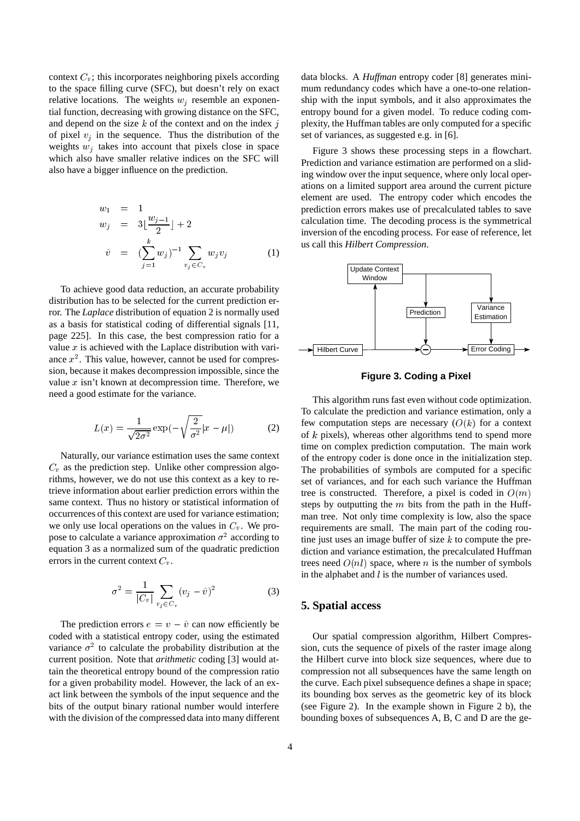context  $C_v$ ; this incorporates neighboring pixels according to the space filling curve (SFC), but doesn't rely on exact relative locations. The weights  $w_j$  resemble an exponential function, decreasing with growing distance on the SFC, and depend on the size  $k$  of the context and on the index  $j$ of pixel  $v_i$  in the sequence. Thus the distribution of the weights  $w_i$  takes into account that pixels close in space which also have smaller relative indices on the SFC will also have a bigger influence on the prediction.

$$
w_1 = 1
$$
  
\n
$$
w_j = 3\left[\frac{w_{j-1}}{2}\right] + 2
$$
  
\n
$$
\hat{v} = (\sum_{j=1}^k w_j)^{-1} \sum_{v_j \in C_v} w_j v_j
$$
  
\n(1)

To achieve good data reduction, an accurate probability distribution has to be selected for the current prediction error. The *Laplace* distribution of equation 2 is normally used as a basis for statistical coding of differential signals [11, page 225]. In this case, the best compression ratio for a value  $x$  is achieved with the Laplace distribution with variance  $x^2$ . This value, however, cannot be used for compression, because it makes decompression impossible, since the value  $x$  isn't known at decompression time. Therefore, we need a good estimate for the variance.

$$
L(x) = \frac{1}{\sqrt{2\sigma^2}} \exp(-\sqrt{\frac{2}{\sigma^2}} |x - \mu|)
$$
 (2)

Naturally, our variance estimation uses the same context  $C_v$  as the prediction step. Unlike other compression algorithms, however, we do not use this context as a key to retrieve information about earlier prediction errors within the same context. Thus no history or statistical information of occurrences of this context are used for variance estimation; we only use local operations on the values in  $C_v$ . We propose to calculate a variance approximation  $\sigma^2$  according to equation 3 as a normalized sum of the quadratic prediction errors in the current context  $C_v$ .

$$
\sigma^2 = \frac{1}{|C_v|} \sum_{v_j \in C_v} (v_j - \hat{v})^2
$$
 (3)

The prediction errors  $e = v - \hat{v}$  can now efficiently be coded with a statistical entropy coder, using the estimated variance  $\sigma^2$  to calculate the probability distribution at the current position. Note that *arithmetic* coding [3] would attain the theoretical entropy bound of the compression ratio for a given probability model. However, the lack of an exact link between the symbols of the input sequence and the bits of the output binary rational number would interfere with the division of the compressed data into many different data blocks. A *Huffman* entropy coder [8] generates minimum redundancy codes which have a one-to-one relationship with the input symbols, and it also approximates the entropy bound for a given model. To reduce coding complexity, the Huffman tables are only computed for a specific set of variances, as suggested e.g. in [6].

Figure 3 shows these processing steps in a flowchart. Prediction and variance estimation are performed on a sliding window over the input sequence, where only local operations on a limited support area around the current picture element are used. The entropy coder which encodes the prediction errors makes use of precalculated tables to save calculation time. The decoding process is the symmetrical inversion of the encoding process. For ease of reference, let us call this *Hilbert Compression*.



**Figure 3. Coding a Pixel**

This algorithm runs fast even without code optimization. To calculate the prediction and variance estimation, only a few computation steps are necessary  $(O(k))$  for a context of <sup>k</sup> pixels), whereas other algorithms tend to spend more time on complex prediction computation. The main work of the entropy coder is done once in the initialization step. The probabilities of symbols are computed for a specific set of variances, and for each such variance the Huffman tree is constructed. Therefore, a pixel is coded in  $O(m)$ steps by outputting the  $m$  bits from the path in the Huffman tree. Not only time complexity is low, also the space requirements are small. The main part of the coding routine just uses an image buffer of size  $k$  to compute the prediction and variance estimation, the precalculated Huffman trees need  $O(nl)$  space, where n is the number of symbols in the alphabet and  $l$  is the number of variances used.

#### **5. Spatial access**

Our spatial compression algorithm, Hilbert Compression, cuts the sequence of pixels of the raster image along the Hilbert curve into block size sequences, where due to compression not all subsequences have the same length on the curve. Each pixel subsequence defines a shape in space; its bounding box serves as the geometric key of its block (see Figure 2). In the example shown in Figure 2 b), the bounding boxes of subsequences A, B, C and D are the ge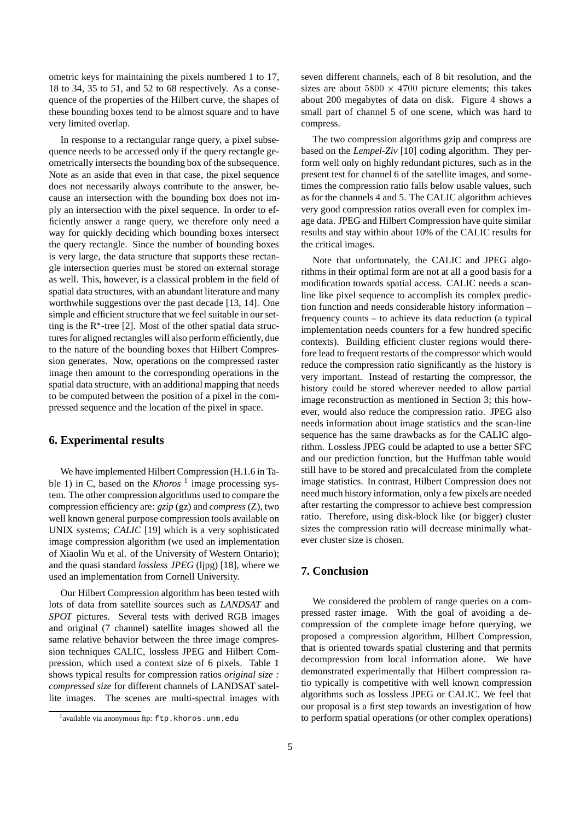ometric keys for maintaining the pixels numbered 1 to 17, 18 to 34, 35 to 51, and 52 to 68 respectively. As a consequence of the properties of the Hilbert curve, the shapes of these bounding boxes tend to be almost square and to have very limited overlap.

In response to a rectangular range query, a pixel subsequence needs to be accessed only if the query rectangle geometrically intersects the bounding box of the subsequence. Note as an aside that even in that case, the pixel sequence does not necessarily always contribute to the answer, because an intersection with the bounding box does not imply an intersection with the pixel sequence. In order to efficiently answer a range query, we therefore only need a way for quickly deciding which bounding boxes intersect the query rectangle. Since the number of bounding boxes is very large, the data structure that supports these rectangle intersection queries must be stored on external storage as well. This, however, is a classical problem in the field of spatial data structures, with an abundant literature and many worthwhile suggestions over the past decade [13, 14]. One simple and efficient structure that we feel suitable in our setting is the  $R^*$ -tree [2]. Most of the other spatial data structures for aligned rectangles will also perform efficiently, due to the nature of the bounding boxes that Hilbert Compression generates. Now, operations on the compressed raster image then amount to the corresponding operations in the spatial data structure, with an additional mapping that needs to be computed between the position of a pixel in the compressed sequence and the location of the pixel in space.

#### **6. Experimental results**

We have implemented Hilbert Compression (H.1.6 in Table 1) in C, based on the *Khoros* <sup>1</sup> image processing system. The other compression algorithms used to compare the compression efficiency are: *gzip* (gz) and *compress* (Z), two well known general purpose compression tools available on UNIX systems; *CALIC* [19] which is a very sophisticated image compression algorithm (we used an implementation of Xiaolin Wu et al. of the University of Western Ontario); and the quasi standard *lossless JPEG* (ljpg) [18], where we used an implementation from Cornell University.

Our Hilbert Compression algorithm has been tested with lots of data from satellite sources such as *LANDSAT* and *SPOT* pictures. Several tests with derived RGB images and original (7 channel) satellite images showed all the same relative behavior between the three image compression techniques CALIC, lossless JPEG and Hilbert Compression, which used a context size of 6 pixels. Table 1 shows typical results for compression ratios *original size : compressed size* for different channels of LANDSAT satellite images. The scenes are multi-spectral images with seven different channels, each of 8 bit resolution, and the sizes are about  $5800 \times 4700$  picture elements; this takes about 200 megabytes of data on disk. Figure 4 shows a small part of channel 5 of one scene, which was hard to compress.

The two compression algorithms gzip and compress are based on the *Lempel-Ziv* [10] coding algorithm. They perform well only on highly redundant pictures, such as in the present test for channel 6 of the satellite images, and sometimes the compression ratio falls below usable values, such as for the channels 4 and 5. The CALIC algorithm achieves very good compression ratios overall even for complex image data. JPEG and Hilbert Compression have quite similar results and stay within about 10% of the CALIC results for the critical images.

Note that unfortunately, the CALIC and JPEG algorithms in their optimal form are not at all a good basis for a modification towards spatial access. CALIC needs a scanline like pixel sequence to accomplish its complex prediction function and needs considerable history information – frequency counts – to achieve its data reduction (a typical implementation needs counters for a few hundred specific contexts). Building efficient cluster regions would therefore lead to frequent restarts of the compressor which would reduce the compression ratio significantly as the history is very important. Instead of restarting the compressor, the history could be stored wherever needed to allow partial image reconstruction as mentioned in Section 3; this however, would also reduce the compression ratio. JPEG also needs information about image statistics and the scan-line sequence has the same drawbacks as for the CALIC algorithm. Lossless JPEG could be adapted to use a better SFC and our prediction function, but the Huffman table would still have to be stored and precalculated from the complete image statistics. In contrast, Hilbert Compression does not need much history information, only a few pixels are needed after restarting the compressor to achieve best compression ratio. Therefore, using disk-block like (or bigger) cluster sizes the compression ratio will decrease minimally whatever cluster size is chosen.

# **7. Conclusion**

We considered the problem of range queries on a compressed raster image. With the goal of avoiding a decompression of the complete image before querying, we proposed a compression algorithm, Hilbert Compression, that is oriented towards spatial clustering and that permits decompression from local information alone. We have demonstrated experimentally that Hilbert compression ratio typically is competitive with well known compression algorithms such as lossless JPEG or CALIC. We feel that our proposal is a first step towards an investigation of how to perform spatial operations (or other complex operations)

<sup>&</sup>lt;sup>1</sup>available via anonymous ftp: ftp.khoros.unm.edu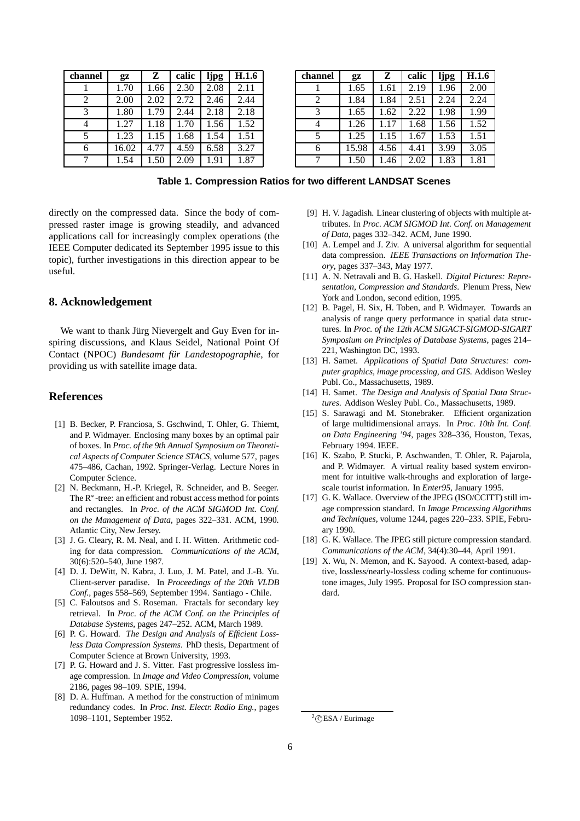| channel | $\mathbf{q}$ | Z    | calic | ljpg | <b>H.1.6</b> |
|---------|--------------|------|-------|------|--------------|
|         | 1.70         | 1.66 | 2.30  | 2.08 | 2.11         |
| 2       | 2.00         | 2.02 | 2.72  | 2.46 | 2.44         |
| 3       | 1.80         | 1.79 | 2.44  | 2.18 | 2.18         |
| 4       | 1.27         | 1.18 | 1.70  | 1.56 | 1.52         |
| 5       | 1.23         | 1.15 | 1.68  | 1.54 | 1.51         |
| 6       | 16.02        | 4.77 | 4.59  | 6.58 | 3.27         |
|         | 1.54         | 1.50 | 2.09  | 1.91 | 1.87         |

| channel | $_{2z}$ | z    | calic | ljpg | H.1.6 |
|---------|---------|------|-------|------|-------|
|         | 1.65    | 1.61 | 2.19  | 1.96 | 2.00  |
| 2       | 1.84    | 1.84 | 2.51  | 2.24 | 2.24  |
| 3       | 1.65    | 1.62 | 2.22  | 1.98 | 1.99  |
| 4       | 1.26    | 1.17 | 1.68  | 1.56 | 1.52  |
| 5       | 1.25    | 1.15 | 1.67  | 1.53 | 1.51  |
| 6       | 15.98   | 4.56 | 4.41  | 3.99 | 3.05  |
|         | 1.50    | 1.46 | 2.02  | 1.83 | 1.81  |

**Table 1. Compression Ratios for two different LANDSAT Scenes**

directly on the compressed data. Since the body of compressed raster image is growing steadily, and advanced applications call for increasingly complex operations (the IEEE Computer dedicated its September 1995 issue to this topic), further investigations in this direction appear to be useful.

## **8. Acknowledgement**

We want to thank Jürg Nievergelt and Guy Even for inspiring discussions, and Klaus Seidel, National Point Of Contact (NPOC) *Bundesamt für Landestopographie*, for providing us with satellite image data.

#### **References**

- [1] B. Becker, P. Franciosa, S. Gschwind, T. Ohler, G. Thiemt, and P. Widmayer. Enclosing many boxes by an optimal pair of boxes. In *Proc. of the 9th Annual Symposium on Theoretical Aspects of Computer Science STACS*, volume 577, pages 475–486, Cachan, 1992. Springer-Verlag. Lecture Nores in Computer Science.
- [2] N. Beckmann, H.-P. Kriegel, R. Schneider, and B. Seeger. The R<sup>\*</sup>-tree: an efficient and robust access method for points and rectangles. In *Proc. of the ACM SIGMOD Int. Conf. on the Management of Data*, pages 322–331. ACM, 1990. Atlantic City, New Jersey.
- [3] J. G. Cleary, R. M. Neal, and I. H. Witten. Arithmetic coding for data compression. *Communications of the ACM*, 30(6):520–540, June 1987.
- [4] D. J. DeWitt, N. Kabra, J. Luo, J. M. Patel, and J.-B. Yu. Client-server paradise. In *Proceedings of the 20th VLDB Conf.*, pages 558–569, September 1994. Santiago - Chile.
- [5] C. Faloutsos and S. Roseman. Fractals for secondary key retrieval. In *Proc. of the ACM Conf. on the Principles of Database Systems*, pages 247–252. ACM, March 1989.
- [6] P. G. Howard. *The Design and Analysis of Efficient Lossless Data Compression Systems*. PhD thesis, Department of Computer Science at Brown University, 1993.
- [7] P. G. Howard and J. S. Vitter. Fast progressive lossless image compression. In *Image and Video Compression*, volume 2186, pages 98–109. SPIE, 1994.
- [8] D. A. Huffman. A method for the construction of minimum redundancy codes. In *Proc. Inst. Electr. Radio Eng.*, pages 1098–1101, September 1952.
- [9] H. V. Jagadish. Linear clustering of objects with multiple attributes. In *Proc. ACM SIGMOD Int. Conf. on Management of Data*, pages 332–342. ACM, June 1990.
- [10] A. Lempel and J. Ziv. A universal algorithm for sequential data compression. *IEEE Transactions on Information Theory*, pages 337–343, May 1977.
- [11] A. N. Netravali and B. G. Haskell. *Digital Pictures: Representation, Compression and Standards*. Plenum Press, New York and London, second edition, 1995.
- [12] B. Pagel, H. Six, H. Toben, and P. Widmayer. Towards an analysis of range query performance in spatial data structures. In *Proc. of the 12th ACM SIGACT-SIGMOD-SIGART Symposium on Principles of Database Systems*, pages 214– 221, Washington DC, 1993.
- [13] H. Samet. *Applications of Spatial Data Structures: computer graphics, image processing, and GIS*. Addison Wesley Publ. Co., Massachusetts, 1989.
- [14] H. Samet. *The Design and Analysis of Spatial Data Structures*. Addison Wesley Publ. Co., Massachusetts, 1989.
- [15] S. Sarawagi and M. Stonebraker. Efficient organization of large multidimensional arrays. In *Proc. 10th Int. Conf. on Data Engineering '94*, pages 328–336, Houston, Texas, February 1994. IEEE.
- [16] K. Szabo, P. Stucki, P. Aschwanden, T. Ohler, R. Pajarola, and P. Widmayer. A virtual reality based system environment for intuitive walk-throughs and exploration of largescale tourist information. In *Enter95*, January 1995.
- [17] G. K. Wallace. Overview of the JPEG (ISO/CCITT) still image compression standard. In *Image Processing Algorithms and Techniques*, volume 1244, pages 220–233. SPIE, February 1990.
- [18] G. K. Wallace. The JPEG still picture compression standard. *Communications of the ACM*, 34(4):30–44, April 1991.
- [19] X. Wu, N. Memon, and K. Sayood. A context-based, adaptive, lossless/nearly-lossless coding scheme for continuoustone images, July 1995. Proposal for ISO compression standard.

 ${}^{2}$ ©ESA / Eurimage